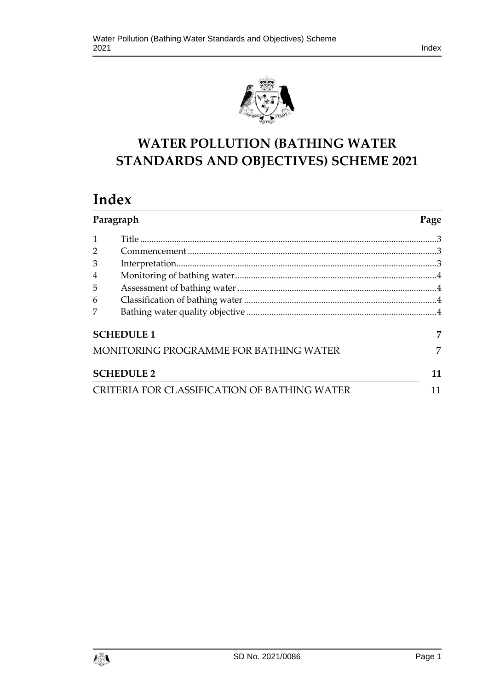



# **WATER POLLUTION (BATHING WATER STANDARDS AND OBJECTIVES) SCHEME 2021**

# **Index**

| Paragraph                                    |  | Page |
|----------------------------------------------|--|------|
|                                              |  |      |
|                                              |  |      |
| 3                                            |  |      |
| $\overline{4}$                               |  |      |
| 5                                            |  |      |
| 6                                            |  |      |
|                                              |  |      |
| <b>SCHEDULE 1</b>                            |  |      |
| MONITORING PROGRAMME FOR BATHING WATER       |  |      |
| <b>SCHEDULE 2</b>                            |  |      |
| CRITERIA FOR CLASSIFICATION OF BATHING WATER |  |      |

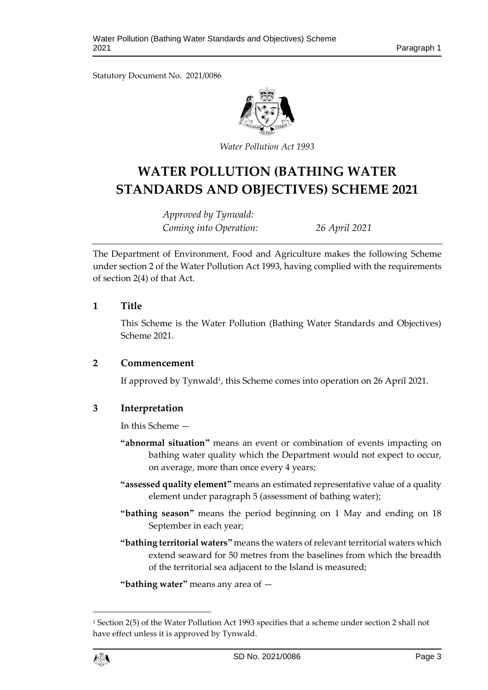Statutory Document No. 2021/0086



*Water Pollution Act 1993*

# **WATER POLLUTION (BATHING WATER STANDARDS AND OBJECTIVES) SCHEME 2021**

*Approved by Tynwald: Coming into Operation: 26 April 2021*

The Department of Environment, Food and Agriculture makes the following Scheme under section 2 of the Water Pollution Act 1993, having complied with the requirements of section 2(4) of that Act.

#### <span id="page-2-0"></span>**1 Title**

This Scheme is the Water Pollution (Bathing Water Standards and Objectives) Scheme 2021.

### <span id="page-2-1"></span>**2 Commencement**

If approved by Tynwald<sup>1</sup>, this Scheme comes into operation on 26 April 2021.

### <span id="page-2-2"></span>**3 Interpretation**

In this Scheme —

- **"abnormal situation"** means an event or combination of events impacting on bathing water quality which the Department would not expect to occur, on average, more than once every 4 years;
- **"assessed quality element"** means an estimated representative value of a quality element under paragraph 5 (assessment of bathing water);
- **"bathing season"** means the period beginning on 1 May and ending on 18 September in each year;
- **"bathing territorial waters"** means the waters of relevant territorial waters which extend seaward for 50 metres from the baselines from which the breadth of the territorial sea adjacent to the Island is measured;

**"bathing water"** means any area of —

<sup>1</sup> Section 2(5) of the Water Pollution Act 1993 specifies that a scheme under section 2 shall not have effect unless it is approved by Tynwald.



1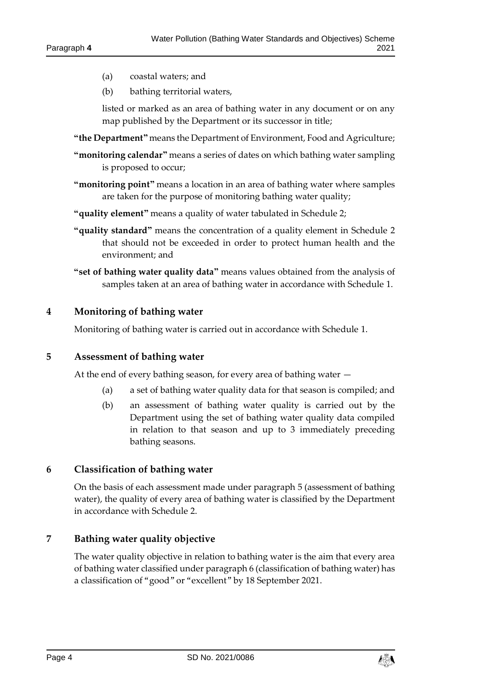- (a) coastal waters; and
- (b) bathing territorial waters,

listed or marked as an area of bathing water in any document or on any map published by the Department or its successor in title;

- **"the Department"** means the Department of Environment, Food and Agriculture;
- **"monitoring calendar"** means a series of dates on which bathing water sampling is proposed to occur;
- **"monitoring point"** means a location in an area of bathing water where samples are taken for the purpose of monitoring bathing water quality;
- **"quality element"** means a quality of water tabulated in Schedule 2;
- **"quality standard"** means the concentration of a quality element in Schedule 2 that should not be exceeded in order to protect human health and the environment; and
- **"set of bathing water quality data"** means values obtained from the analysis of samples taken at an area of bathing water in accordance with Schedule 1.

#### <span id="page-3-0"></span>**4 Monitoring of bathing water**

Monitoring of bathing water is carried out in accordance with Schedule 1.

#### <span id="page-3-1"></span>**5 Assessment of bathing water**

At the end of every bathing season, for every area of bathing water —

- (a) a set of bathing water quality data for that season is compiled; and
- (b) an assessment of bathing water quality is carried out by the Department using the set of bathing water quality data compiled in relation to that season and up to 3 immediately preceding bathing seasons.

#### <span id="page-3-2"></span>**6 Classification of bathing water**

On the basis of each assessment made under paragraph 5 (assessment of bathing water), the quality of every area of bathing water is classified by the Department in accordance with Schedule 2.

#### <span id="page-3-3"></span>**7 Bathing water quality objective**

The water quality objective in relation to bathing water is the aim that every area of bathing water classified under paragraph 6 (classification of bathing water) has a classification of "good" or "excellent" by 18 September 2021.

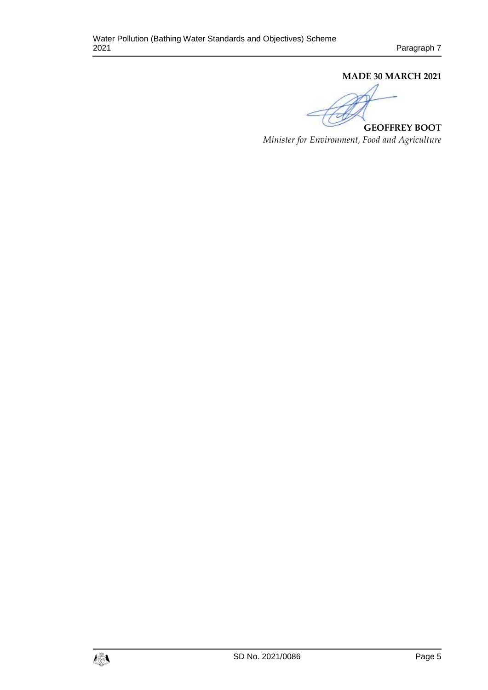#### **MADE 30 MARCH 2021**

**GEOFFREY BOOT**

*Minister for Environment, Food and Agriculture*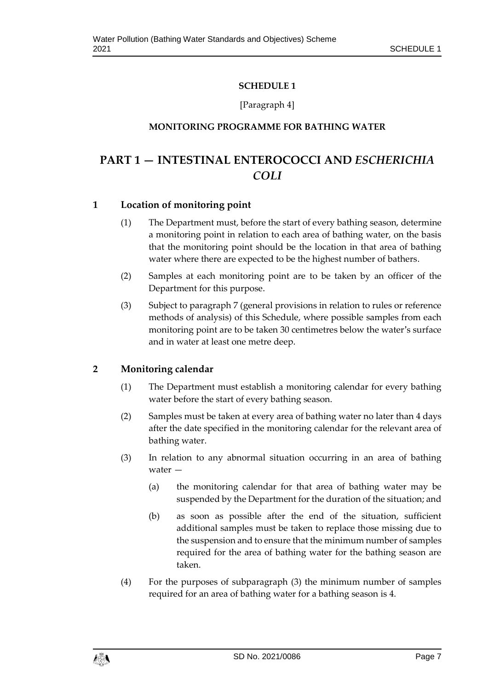### **SCHEDULE 1**

### [Paragraph 4]

### <span id="page-6-0"></span>**MONITORING PROGRAMME FOR BATHING WATER**

# <span id="page-6-1"></span>**PART 1 — INTESTINAL ENTEROCOCCI AND** *ESCHERICHIA COLI*

### **1 Location of monitoring point**

- (1) The Department must, before the start of every bathing season, determine a monitoring point in relation to each area of bathing water, on the basis that the monitoring point should be the location in that area of bathing water where there are expected to be the highest number of bathers.
- (2) Samples at each monitoring point are to be taken by an officer of the Department for this purpose.
- (3) Subject to paragraph 7 (general provisions in relation to rules or reference methods of analysis) of this Schedule, where possible samples from each monitoring point are to be taken 30 centimetres below the water's surface and in water at least one metre deep.

# **2 Monitoring calendar**

- (1) The Department must establish a monitoring calendar for every bathing water before the start of every bathing season.
- (2) Samples must be taken at every area of bathing water no later than 4 days after the date specified in the monitoring calendar for the relevant area of bathing water.
- (3) In relation to any abnormal situation occurring in an area of bathing water —
	- (a) the monitoring calendar for that area of bathing water may be suspended by the Department for the duration of the situation; and
	- (b) as soon as possible after the end of the situation, sufficient additional samples must be taken to replace those missing due to the suspension and to ensure that the minimum number of samples required for the area of bathing water for the bathing season are taken.
- (4) For the purposes of subparagraph (3) the minimum number of samples required for an area of bathing water for a bathing season is 4.

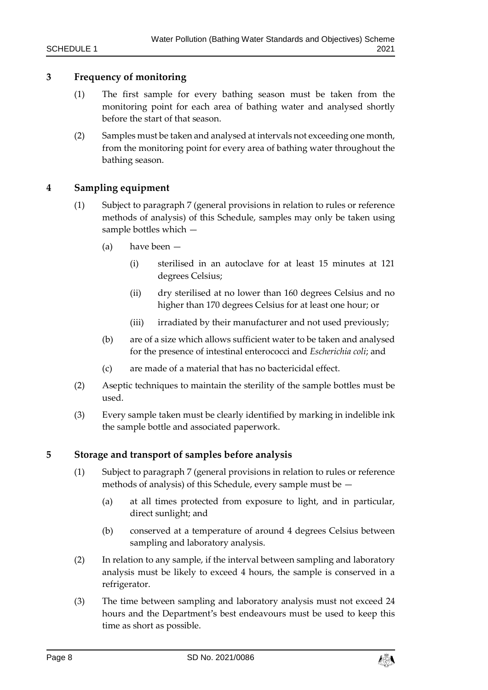### **3 Frequency of monitoring**

- (1) The first sample for every bathing season must be taken from the monitoring point for each area of bathing water and analysed shortly before the start of that season.
- (2) Samples must be taken and analysed at intervals not exceeding one month, from the monitoring point for every area of bathing water throughout the bathing season.

### **4 Sampling equipment**

- (1) Subject to paragraph 7 (general provisions in relation to rules or reference methods of analysis) of this Schedule, samples may only be taken using sample bottles which —
	- (a) have been
		- (i) sterilised in an autoclave for at least 15 minutes at 121 degrees Celsius;
		- (ii) dry sterilised at no lower than 160 degrees Celsius and no higher than 170 degrees Celsius for at least one hour; or
		- (iii) irradiated by their manufacturer and not used previously;
	- (b) are of a size which allows sufficient water to be taken and analysed for the presence of intestinal enterococci and *Escherichia coli*; and
	- (c) are made of a material that has no bactericidal effect.
- (2) Aseptic techniques to maintain the sterility of the sample bottles must be used.
- (3) Every sample taken must be clearly identified by marking in indelible ink the sample bottle and associated paperwork.

### **5 Storage and transport of samples before analysis**

- (1) Subject to paragraph 7 (general provisions in relation to rules or reference methods of analysis) of this Schedule, every sample must be —
	- (a) at all times protected from exposure to light, and in particular, direct sunlight; and
	- (b) conserved at a temperature of around 4 degrees Celsius between sampling and laboratory analysis.
- (2) In relation to any sample, if the interval between sampling and laboratory analysis must be likely to exceed 4 hours, the sample is conserved in a refrigerator.
- (3) The time between sampling and laboratory analysis must not exceed 24 hours and the Department's best endeavours must be used to keep this time as short as possible.

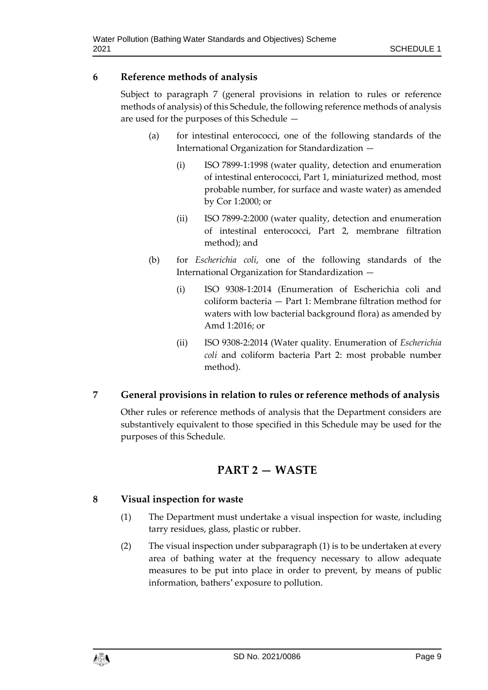## **6 Reference methods of analysis**

Subject to paragraph 7 (general provisions in relation to rules or reference methods of analysis) of this Schedule, the following reference methods of analysis are used for the purposes of this Schedule —

- (a) for intestinal enterococci, one of the following standards of the International Organization for Standardization —
	- (i) ISO 7899-1:1998 (water quality, detection and enumeration of intestinal enterococci, Part 1, miniaturized method, most probable number, for surface and waste water) as amended by Cor 1:2000; or
	- (ii) ISO 7899-2:2000 (water quality, detection and enumeration of intestinal enterococci, Part 2, membrane filtration method); and
- (b) for *Escherichia coli*, one of the following standards of the International Organization for Standardization —
	- (i) ISO 9308-1:2014 (Enumeration of Escherichia coli and coliform bacteria — Part 1: Membrane filtration method for waters with low bacterial background flora) as amended by Amd 1:2016; or
	- (ii) ISO 9308-2:2014 (Water quality. Enumeration of *Escherichia coli* and coliform bacteria Part 2: most probable number method).

# **7 General provisions in relation to rules or reference methods of analysis**

Other rules or reference methods of analysis that the Department considers are substantively equivalent to those specified in this Schedule may be used for the purposes of this Schedule.

# **PART 2 — WASTE**

# **8 Visual inspection for waste**

- (1) The Department must undertake a visual inspection for waste, including tarry residues, glass, plastic or rubber.
- (2) The visual inspection under subparagraph (1) is to be undertaken at every area of bathing water at the frequency necessary to allow adequate measures to be put into place in order to prevent, by means of public information, bathers' exposure to pollution.

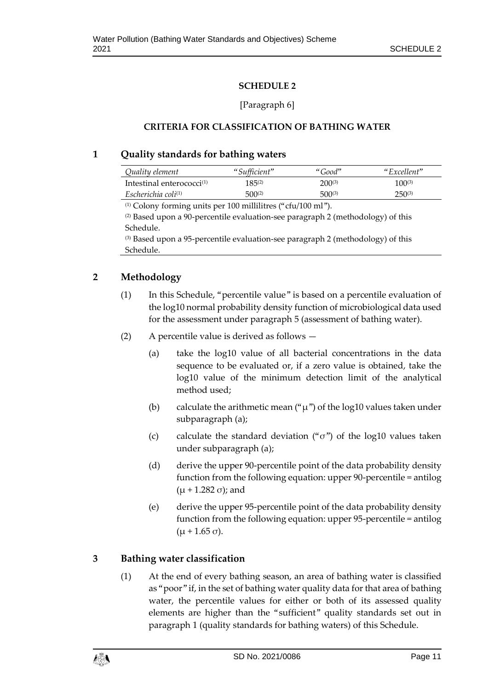#### **SCHEDULE 2**

#### [Paragraph 6]

#### <span id="page-10-0"></span>**CRITERIA FOR CLASSIFICATION OF BATHING WATER**

#### <span id="page-10-1"></span>**1 Quality standards for bathing waters**

| Quality element              | "Sufficient" | "Good"      | "Excellent" |
|------------------------------|--------------|-------------|-------------|
| Intestinal enterococci $(1)$ | 185(2)       | $200^{(3)}$ | $100^{(3)}$ |
| Escherichia coli $(1)$       | $500^{(2)}$  | $500^{(3)}$ | $250^{(3)}$ |

(1) Colony forming units per 100 millilitres ("cfu/100 ml").

(2) Based upon a 90-percentile evaluation-see paragraph 2 (methodology) of this Schedule.

(3) Based upon a 95-percentile evaluation-see paragraph 2 (methodology) of this Schedule.

# **2 Methodology**

- (1) In this Schedule, "percentile value" is based on a percentile evaluation of the log10 normal probability density function of microbiological data used for the assessment under paragraph 5 (assessment of bathing water).
- (2) A percentile value is derived as follows
	- (a) take the log10 value of all bacterial concentrations in the data sequence to be evaluated or, if a zero value is obtained, take the log10 value of the minimum detection limit of the analytical method used;
	- (b) calculate the arithmetic mean (" $\mu$ ") of the log10 values taken under subparagraph (a);
	- (c) calculate the standard deviation (" $\sigma$ ") of the log10 values taken under subparagraph (a);
	- (d) derive the upper 90-percentile point of the data probability density function from the following equation: upper 90-percentile = antilog  $(μ + 1.282 σ)$ ; and
	- (e) derive the upper 95-percentile point of the data probability density function from the following equation: upper 95-percentile = antilog  $(μ + 1.65 σ).$

# **3 Bathing water classification**

(1) At the end of every bathing season, an area of bathing water is classified as "poor" if, in the set of bathing water quality data for that area of bathing water, the percentile values for either or both of its assessed quality elements are higher than the "sufficient" quality standards set out in paragraph 1 (quality standards for bathing waters) of this Schedule.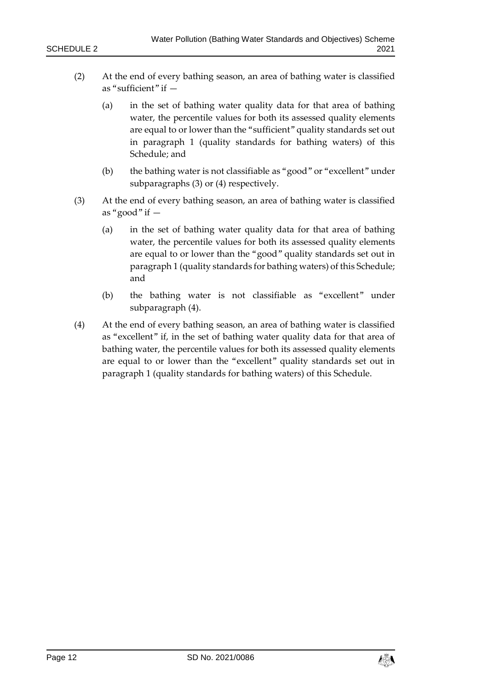- (2) At the end of every bathing season, an area of bathing water is classified as "sufficient" if —
	- (a) in the set of bathing water quality data for that area of bathing water, the percentile values for both its assessed quality elements are equal to or lower than the "sufficient" quality standards set out in paragraph 1 (quality standards for bathing waters) of this Schedule; and
	- (b) the bathing water is not classifiable as "good" or "excellent" under subparagraphs (3) or (4) respectively.
- (3) At the end of every bathing season, an area of bathing water is classified as "good" if  $-$ 
	- (a) in the set of bathing water quality data for that area of bathing water, the percentile values for both its assessed quality elements are equal to or lower than the "good" quality standards set out in paragraph 1 (quality standards for bathing waters) of this Schedule; and
	- (b) the bathing water is not classifiable as "excellent" under subparagraph (4).
- (4) At the end of every bathing season, an area of bathing water is classified as "excellent" if, in the set of bathing water quality data for that area of bathing water, the percentile values for both its assessed quality elements are equal to or lower than the "excellent" quality standards set out in paragraph 1 (quality standards for bathing waters) of this Schedule.